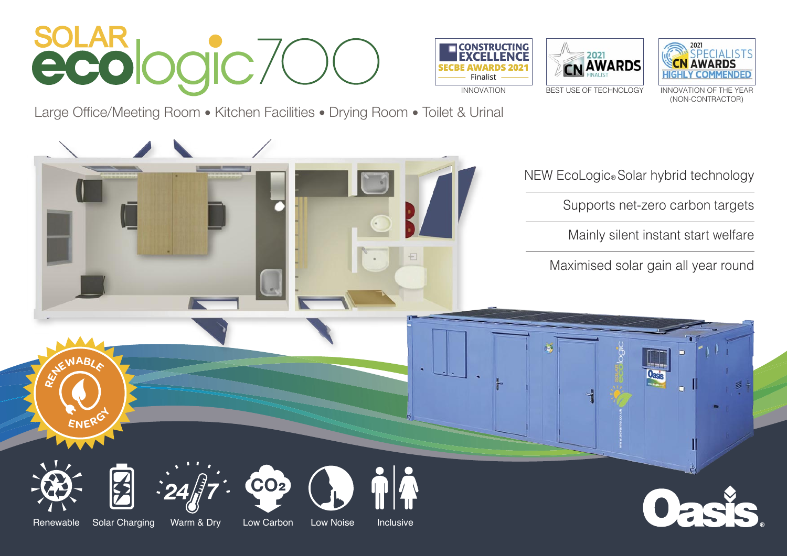# soLAR<br>ecologic70







Large Office/Meeting Room • Kitchen Facilities • Drying Room • Toilet & Urinal

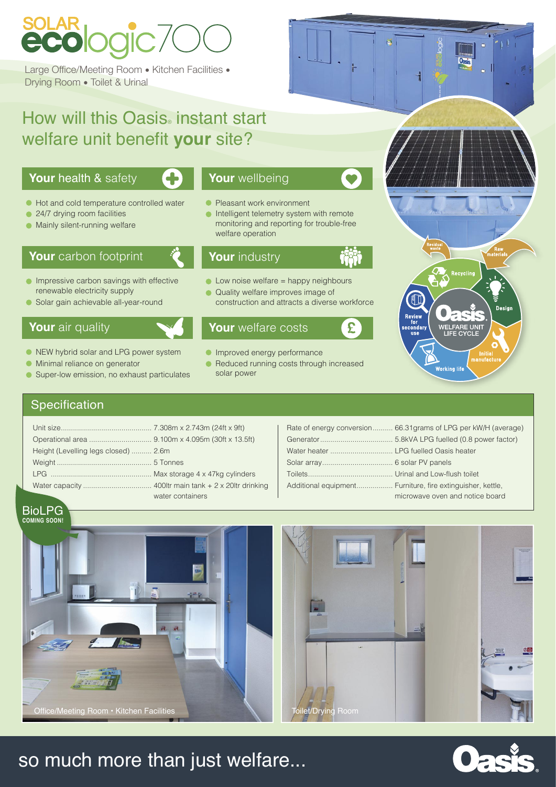## so much more than just welfare...



| Height (Levelling legs closed)  2.6m |                  |
|--------------------------------------|------------------|
|                                      |                  |
|                                      |                  |
|                                      |                  |
|                                      | water containers |

# **SOLAR**<br>**ECO** logic 70

Large Office/Meeting Room • Kitchen Facilities • Drying Room • Toilet & Urinal

## How will this Oasis instant start welfare unit benefit **your** site?

- 24/7 drying room facilities  $\bullet$
- **Mainly silent-running welfare**

- 
- NEW hybrid solar and LPG power system
- **Minimal reliance on generator**
- Super-low emission, no exhaust particulates  $\bullet$

### Rate of energy conversion.......... 66.31grams of LPG per kW/H (average) Generator.................................... 5.8kVA LPG fuelled (0.8 power factor) Water heater ............................... LPG fuelled Oasis heater Solar array................................... 6 solar PV panels Toilets.......................................... Urinal and Low-flush toilet Additional equipment.................. Furniture, fire extinguisher, kettle, microwave oven and notice board

- **Pleasant work environment**
- **Intelligent telemetry system with remote**  monitoring and reporting for trouble-free welfare operation

- $\bullet$  Low noise welfare = happy neighbours
- Quality welfare improves image of construction and attracts a diverse workforce

- **Improved energy performance**
- Reduced running costs through increased solar power

Recycling Design Review<br>for<br>secondary WELFARE UNIT<br>LIFE CYCLE **Initial**<br>manufactu **Working life** 

## **Specification**

BioLPG





## **Your** health & safety



#### $\bullet$  Hot and cold temperature controlled water

## **Your** carbon footprint

- **Impressive carbon savings with effective** renewable electricity supply
- Solar gain achievable all-year-round

## **Your** air quality

## **Your** wellbeing

## **Your** welfare costs

## **Your** industry